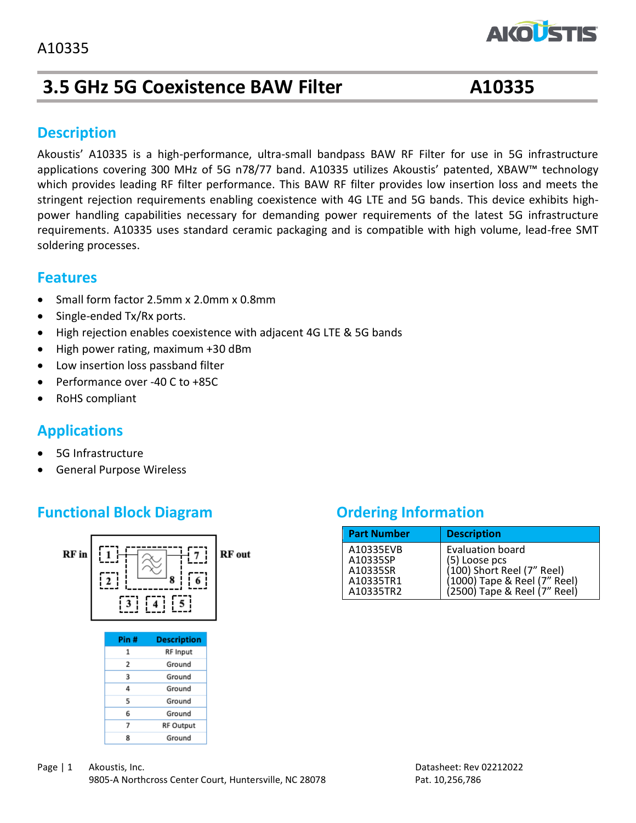# **3.5 GHz 5G Coexistence BAW Filter A10335**

**AKOLST** 

### **Description**

Akoustis' A10335 is a high-performance, ultra-small bandpass BAW RF Filter for use in 5G infrastructure applications covering 300 MHz of 5G n78/77 band. A10335 utilizes Akoustis' patented, XBAW™ technology which provides leading RF filter performance. This BAW RF filter provides low insertion loss and meets the stringent rejection requirements enabling coexistence with 4G LTE and 5G bands. This device exhibits highpower handling capabilities necessary for demanding power requirements of the latest 5G infrastructure requirements. A10335 uses standard ceramic packaging and is compatible with high volume, lead-free SMT soldering processes.

### **Features**

- Small form factor 2.5mm x 2.0mm x 0.8mm
- Single-ended Tx/Rx ports.
- High rejection enables coexistence with adjacent 4G LTE & 5G bands
- High power rating, maximum +30 dBm
- Low insertion loss passband filter
- Performance over -40 C to +85C
- RoHS compliant

### **Applications**

- 5G Infrastructure
- General Purpose Wireless

### **Functional Block Diagram** *Ordering Information*



| <b>Part Number</b> | <b>Description</b>           |
|--------------------|------------------------------|
| A10335EVB          | <b>Evaluation board</b>      |
| A10335SP           | (5) Loose pcs                |
| A10335SR           | $(100)$ Short Reel (7" Reel) |
| A10335TR1          | (1000) Tape & Reel (7" Reel) |
| A10335TR2          | (2500) Tape & Reel (7" Reel) |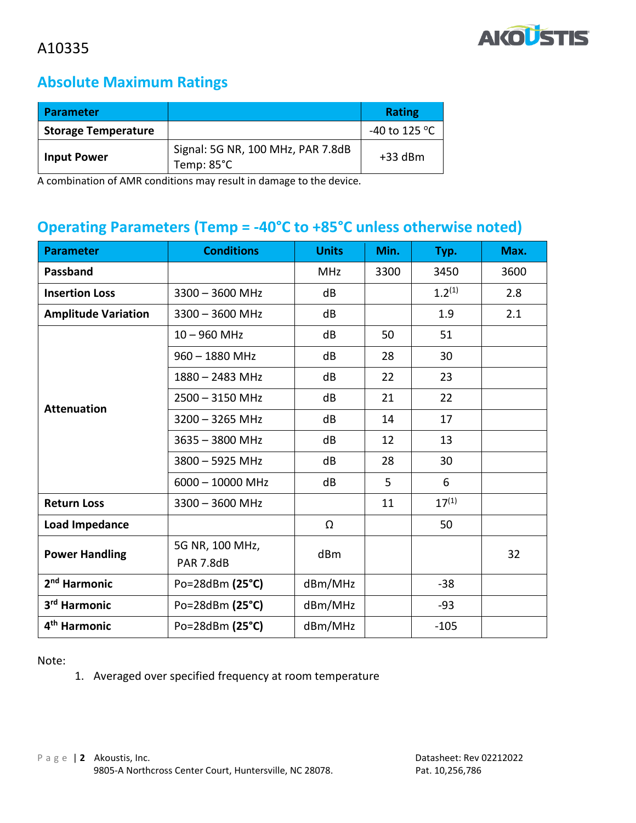

# **Absolute Maximum Ratings**

| Parameter                  |                                                 | <b>Rating</b>           |
|----------------------------|-------------------------------------------------|-------------------------|
| <b>Storage Temperature</b> |                                                 | -40 to 125 $^{\circ}$ C |
| <b>Input Power</b>         | Signal: 5G NR, 100 MHz, PAR 7.8dB<br>Temp: 85°C | $+33$ dBm               |

A combination of AMR conditions may result in damage to the device.

## **Operating Parameters (Temp = -40°C to +85°C unless otherwise noted)**

| <b>Parameter</b>           | <b>Conditions</b>            | <b>Units</b> | Min. | Typ.        | Max. |
|----------------------------|------------------------------|--------------|------|-------------|------|
| Passband                   |                              | <b>MHz</b>   | 3300 | 3450        | 3600 |
| <b>Insertion Loss</b>      | $3300 - 3600$ MHz            | dB           |      | $1.2^{(1)}$ | 2.8  |
| <b>Amplitude Variation</b> | $3300 - 3600$ MHz            | dB           |      | 1.9         | 2.1  |
|                            | $10 - 960$ MHz               | dB           | 50   | 51          |      |
|                            | $960 - 1880$ MHz             | dB           | 28   | 30          |      |
|                            | 1880 - 2483 MHz              | dB           | 22   | 23          |      |
| <b>Attenuation</b>         | $2500 - 3150$ MHz            | dB           | 21   | 22          |      |
|                            | $3200 - 3265$ MHz            | dB           | 14   | 17          |      |
|                            | 3635 - 3800 MHz              | dB           | 12   | 13          |      |
|                            | 3800 - 5925 MHz              | dB           | 28   | 30          |      |
|                            | $6000 - 10000$ MHz           | dB           | 5    | 6           |      |
| <b>Return Loss</b>         | $3300 - 3600$ MHz            |              | 11   | $17^{(1)}$  |      |
| <b>Load Impedance</b>      |                              | Ω            |      | 50          |      |
| <b>Power Handling</b>      | 5G NR, 100 MHz,<br>PAR 7.8dB | dBm          |      |             | 32   |
| 2 <sup>nd</sup> Harmonic   | Po=28dBm (25°C)              | dBm/MHz      |      | $-38$       |      |
| 3 <sup>rd</sup> Harmonic   | Po=28dBm (25°C)              | dBm/MHz      |      | $-93$       |      |
| 4 <sup>th</sup> Harmonic   | Po=28dBm (25°C)              | dBm/MHz      |      | $-105$      |      |

Note:

1. Averaged over specified frequency at room temperature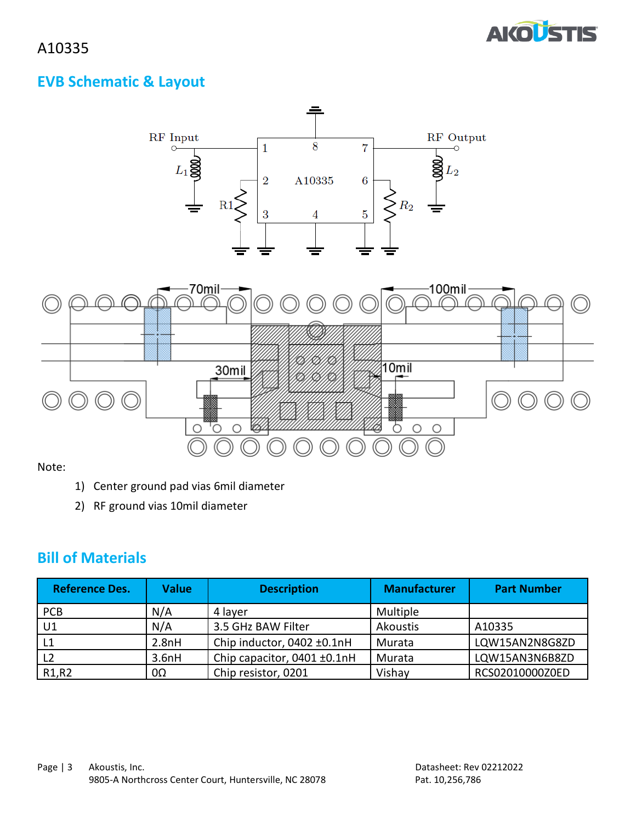

## **EVB Schematic & Layout**



Note:

- 1) Center ground pad vias 6mil diameter
- 2) RF ground vias 10mil diameter

### **Bill of Materials**

| <b>Reference Des.</b>          | <b>Value</b> | <b>Description</b>          | <b>Manufacturer</b> | <b>Part Number</b> |
|--------------------------------|--------------|-----------------------------|---------------------|--------------------|
| <b>PCB</b>                     | N/A          | 4 layer                     | Multiple            |                    |
| U1                             | N/A          | 3.5 GHz BAW Filter          | Akoustis            | A10335             |
|                                | 2.8nH        | Chip inductor, 0402 ±0.1nH  | Murata              | LQW15AN2N8G8ZD     |
|                                | 3.6nH        | Chip capacitor, 0401 ±0.1nH | Murata              | LQW15AN3N6B8ZD     |
| R <sub>1</sub> ,R <sub>2</sub> | 0Ω           | Chip resistor, 0201         | Vishav              | RCS02010000Z0ED    |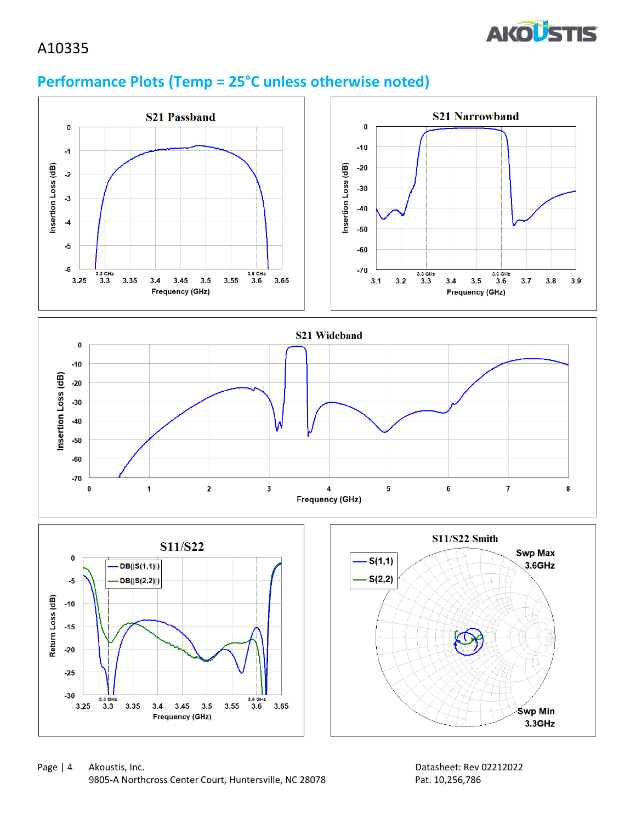

# **Performance Plots (Temp = 25°C unless otherwise noted)**

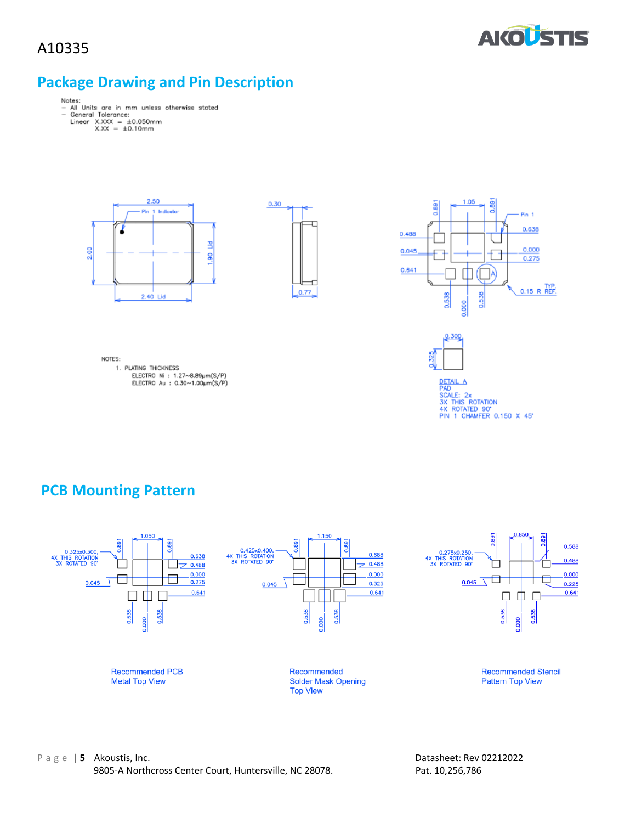

# **Package Drawing and Pin Description**

- Notes:<br>- All Units are in mm unless otherwise stated<br>- General Tolerance:<br>Linear X.XXX = ±0.10mm<br>X.XX = ±0.10mm
	- -







NOTES: 1. PLATING THICKNESS ELECTRO Ni : 1.27~8.89µm(S/P)<br>ELECTRO Au : 0.30~1.00µm(S/P)





0.300

DETAIL A<br>PAD<br>SX THIS ROTATION<br>3X THIS ROTATION<br>4X ROTATED 90"<br>PIN 1 CHAMFER 0.150 X 45"

### **PCB Mounting Pattern**

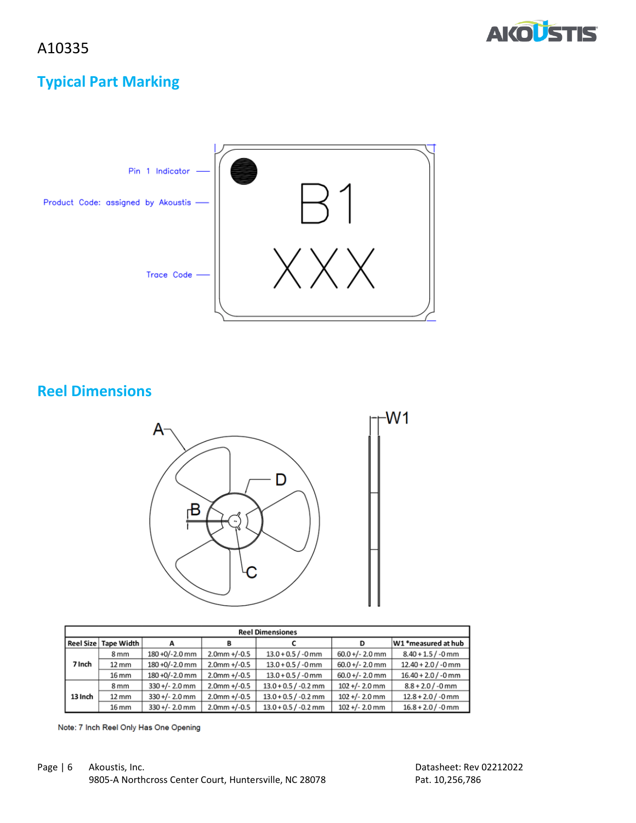



# **Typical Part Marking**



**Reel Dimensions**



| <b>Reel Dimensiones</b> |                   |                  |                 |                        |                   |                       |
|-------------------------|-------------------|------------------|-----------------|------------------------|-------------------|-----------------------|
| <b>Reel Size</b>        | Tape Width        |                  | B               |                        | D                 | W1 *measured at hub   |
|                         | 8 <sub>mm</sub>   | 180 +0/-2.0 mm   | $2.0$ mm +/-0.5 | $13.0 + 0.5 / -0$ mm   | $60.0 +/- 2.0$ mm | $8.40 + 1.5 / -0$ mm  |
| 7 Inch                  | $12 \, \text{mm}$ | 180 +0/-2.0 mm   | $2.0$ mm +/-0.5 | $13.0 + 0.5 / -0$ mm   | $60.0 +/- 2.0$ mm | $12.40 + 2.0$ / -0 mm |
|                         | 16 mm             | 180 +0/-2.0 mm   | $2.0$ mm +/-0.5 | $13.0 + 0.5 / -0$ mm   | $60.0 +/- 2.0$ mm | $16.40 + 2.0$ / -0 mm |
|                         | 8 <sub>mm</sub>   | $330 +/- 2.0$ mm | $2.0$ mm +/-0.5 | $13.0 + 0.5 / -0.2$ mm | $102 +/- 2.0$ mm  | $8.8 + 2.0 / -0$ mm   |
| 13 Inch                 | $12 \, \text{mm}$ | $330 +/- 2.0$ mm | $2.0$ mm +/-0.5 | $13.0 + 0.5 / -0.2$ mm | $102 +/- 2.0$ mm  | $12.8 + 2.0 / -0$ mm  |
|                         | 16 mm             | $330 +/- 2.0$ mm | $2.0$ mm +/-0.5 | $13.0 + 0.5 / -0.2$ mm | $102 +/- 2.0$ mm  | $16.8 + 2.0 / -0$ mm  |

Note: 7 Inch Reel Only Has One Opening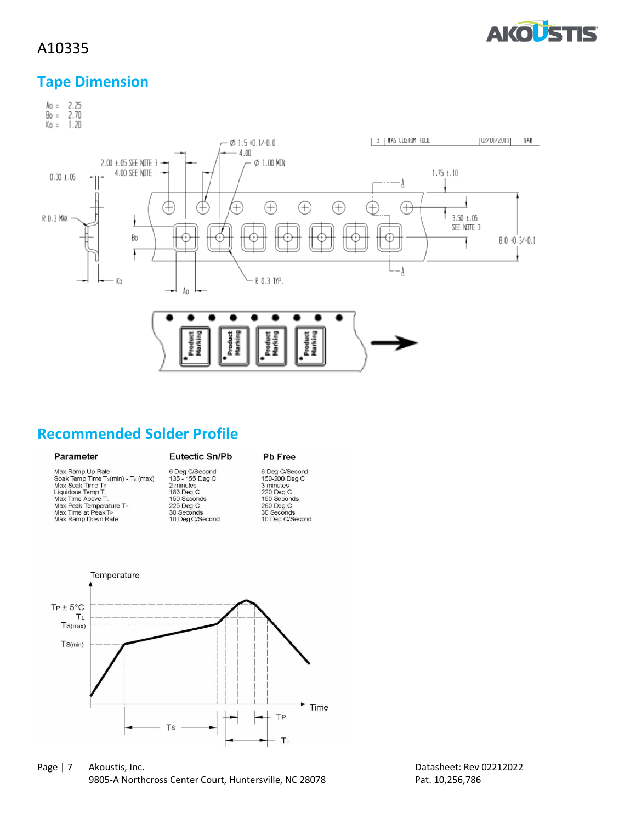

### **Tape Dimension**



### **Recommended Solder Profile**

### Parameter

### Eutectic Sn/Pb

### Pb Free

| Max Ramp Up Rate                  | 6 Deg C/Second  | 6 Deg C/Second  |
|-----------------------------------|-----------------|-----------------|
| Soak Temp Time Ts(min) - Ts (max) | 135 - 155 Deg C | 150-200 Deg C   |
| Max Soak Time Ts                  | 2 minutes       | 3 minutes       |
| Liquidous Temp TL                 | 183 Deg C       | 220 Deg C       |
| Max Time Above TL                 | 150 Seconds     | 150 Seconds     |
| Max Peak Temperature TP           | 225 Deg C       | 260 Deg C       |
| Max Time at Peak TP               | 30 Seconds      | 30 Seconds      |
| Max Ramp Down Rate                | 10 Deg C/Second | 10 Deg C/Second |